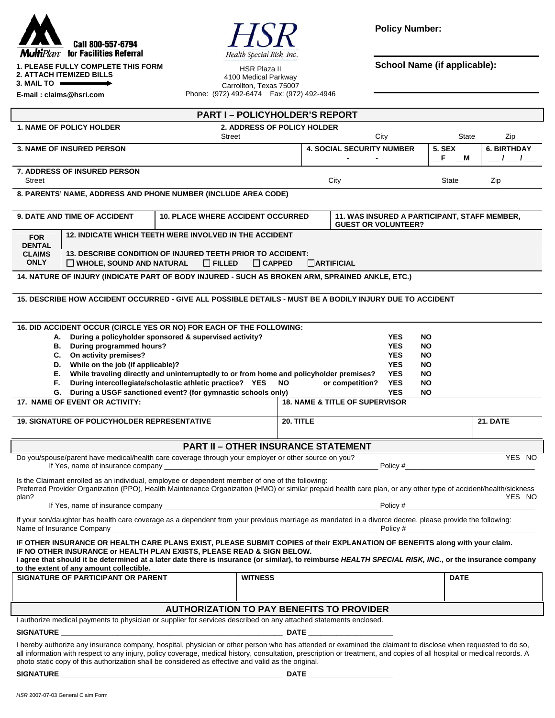



**Policy Number:** 

**School Name (if applicable): School Name (if applicable):** 

| <b>1. PLEASE FULLY COMPLETE THIS FORM</b> |  |
|-------------------------------------------|--|
| <b>2. ATTACH ITEMIZED BILLS</b>           |  |
| $\sim$ $\sim$ $\sim$ $\sim$               |  |

**3. MAIL TO** 

**E-mail : claims@hsri.com**

4100 Medical Parkway Carrollton, Texas 75007 Phone: (972) 492-6474 Fax: (972) 492-4946

| <b>PART I-POLICYHOLDER'S REPORT</b>                                                                                                                                                                                                                                                                                                                                                                                                            |                                                                                         |  |                |                                                                            |                                  |                                           |                        |                                       |                 |  |  |
|------------------------------------------------------------------------------------------------------------------------------------------------------------------------------------------------------------------------------------------------------------------------------------------------------------------------------------------------------------------------------------------------------------------------------------------------|-----------------------------------------------------------------------------------------|--|----------------|----------------------------------------------------------------------------|----------------------------------|-------------------------------------------|------------------------|---------------------------------------|-----------------|--|--|
| <b>1. NAME OF POLICY HOLDER</b><br>2. ADDRESS OF POLICY HOLDER                                                                                                                                                                                                                                                                                                                                                                                 |                                                                                         |  |                |                                                                            |                                  |                                           |                        |                                       |                 |  |  |
| Street                                                                                                                                                                                                                                                                                                                                                                                                                                         |                                                                                         |  |                | City<br><b>4. SOCIAL SECURITY NUMBER</b>                                   |                                  |                                           | State                  | Zip                                   |                 |  |  |
| <b>3. NAME OF INSURED PERSON</b>                                                                                                                                                                                                                                                                                                                                                                                                               |                                                                                         |  |                |                                                                            | $\blacksquare$<br>$\blacksquare$ | <b>5. SEX</b>                             | $-F$ $-M$              | <b>6. BIRTHDAY</b><br>$\frac{-1}{-1}$ |                 |  |  |
|                                                                                                                                                                                                                                                                                                                                                                                                                                                | <b>7. ADDRESS OF INSURED PERSON</b>                                                     |  |                |                                                                            |                                  |                                           |                        |                                       |                 |  |  |
| Street                                                                                                                                                                                                                                                                                                                                                                                                                                         |                                                                                         |  |                |                                                                            |                                  | City                                      |                        | State                                 | Zip             |  |  |
| 8. PARENTS' NAME, ADDRESS AND PHONE NUMBER (INCLUDE AREA CODE)                                                                                                                                                                                                                                                                                                                                                                                 |                                                                                         |  |                |                                                                            |                                  |                                           |                        |                                       |                 |  |  |
| <b>9. DATE AND TIME OF ACCIDENT</b><br><b>10. PLACE WHERE ACCIDENT OCCURRED</b>                                                                                                                                                                                                                                                                                                                                                                |                                                                                         |  |                | 11. WAS INSURED A PARTICIPANT, STAFF MEMBER,<br><b>GUEST OR VOLUNTEER?</b> |                                  |                                           |                        |                                       |                 |  |  |
| <b>FOR</b>                                                                                                                                                                                                                                                                                                                                                                                                                                     | 12. INDICATE WHICH TEETH WERE INVOLVED IN THE ACCIDENT                                  |  |                |                                                                            |                                  |                                           |                        |                                       |                 |  |  |
| <b>DENTAL</b><br>13. DESCRIBE CONDITION OF INJURED TEETH PRIOR TO ACCIDENT:<br><b>CLAIMS</b>                                                                                                                                                                                                                                                                                                                                                   |                                                                                         |  |                |                                                                            |                                  |                                           |                        |                                       |                 |  |  |
| <b>ONLY</b><br><b>CARTIFICIAL</b><br>$\Box$ WHOLE, SOUND AND NATURAL<br>$\Box$ FILLED<br>$\Box$ CAPPED                                                                                                                                                                                                                                                                                                                                         |                                                                                         |  |                |                                                                            |                                  |                                           |                        |                                       |                 |  |  |
| 14. NATURE OF INJURY (INDICATE PART OF BODY INJURED - SUCH AS BROKEN ARM, SPRAINED ANKLE, ETC.)                                                                                                                                                                                                                                                                                                                                                |                                                                                         |  |                |                                                                            |                                  |                                           |                        |                                       |                 |  |  |
|                                                                                                                                                                                                                                                                                                                                                                                                                                                |                                                                                         |  |                |                                                                            |                                  |                                           |                        |                                       |                 |  |  |
| 15. DESCRIBE HOW ACCIDENT OCCURRED - GIVE ALL POSSIBLE DETAILS - MUST BE A BODILY INJURY DUE TO ACCIDENT                                                                                                                                                                                                                                                                                                                                       |                                                                                         |  |                |                                                                            |                                  |                                           |                        |                                       |                 |  |  |
| 16. DID ACCIDENT OCCUR (CIRCLE YES OR NO) FOR EACH OF THE FOLLOWING:                                                                                                                                                                                                                                                                                                                                                                           |                                                                                         |  |                |                                                                            |                                  |                                           |                        |                                       |                 |  |  |
|                                                                                                                                                                                                                                                                                                                                                                                                                                                | During a policyholder sponsored & supervised activity?<br>А.                            |  |                |                                                                            |                                  | <b>YES</b>                                | <b>NO</b>              |                                       |                 |  |  |
|                                                                                                                                                                                                                                                                                                                                                                                                                                                | B. During programmed hours?                                                             |  |                |                                                                            |                                  | <b>YES</b>                                | <b>NO</b>              |                                       |                 |  |  |
|                                                                                                                                                                                                                                                                                                                                                                                                                                                | C. On activity premises?<br>D. While on the job (if applicable)?                        |  |                |                                                                            |                                  | <b>YES</b><br><b>YES</b>                  | <b>NO</b><br><b>NO</b> |                                       |                 |  |  |
| Е.                                                                                                                                                                                                                                                                                                                                                                                                                                             | While traveling directly and uninterruptedly to or from home and policyholder premises? |  |                |                                                                            |                                  | <b>YES</b>                                | <b>NO</b>              |                                       |                 |  |  |
| Е.                                                                                                                                                                                                                                                                                                                                                                                                                                             | During intercollegiate/scholastic athletic practice? YES NO                             |  |                |                                                                            |                                  | <b>YES</b><br>or competition?             | <b>NO</b>              |                                       |                 |  |  |
|                                                                                                                                                                                                                                                                                                                                                                                                                                                | G. During a USGF sanctioned event? (for gymnastic schools only)                         |  |                |                                                                            |                                  | <b>YES</b>                                | <b>NO</b>              |                                       |                 |  |  |
|                                                                                                                                                                                                                                                                                                                                                                                                                                                | 17. NAME OF EVENT OR ACTIVITY:                                                          |  |                |                                                                            |                                  | <b>18. NAME &amp; TITLE OF SUPERVISOR</b> |                        |                                       |                 |  |  |
| <b>19. SIGNATURE OF POLICYHOLDER REPRESENTATIVE</b>                                                                                                                                                                                                                                                                                                                                                                                            |                                                                                         |  |                | 20. TITLE                                                                  |                                  |                                           |                        |                                       | <b>21. DATE</b> |  |  |
| <b>PART II - OTHER INSURANCE STATEMENT</b>                                                                                                                                                                                                                                                                                                                                                                                                     |                                                                                         |  |                |                                                                            |                                  |                                           |                        |                                       |                 |  |  |
| Do you/spouse/parent have medical/health care coverage through your employer or other source on you?<br>YES NO<br>Policy #                                                                                                                                                                                                                                                                                                                     |                                                                                         |  |                |                                                                            |                                  |                                           |                        |                                       |                 |  |  |
| Is the Claimant enrolled as an individual, employee or dependent member of one of the following:<br>Preferred Provider Organization (PPO), Health Maintenance Organization (HMO) or similar prepaid health care plan, or any other type of accident/health/sickness                                                                                                                                                                            |                                                                                         |  |                |                                                                            |                                  |                                           |                        |                                       |                 |  |  |
| plan?<br>$Policy \#$<br>If Yes, name of insurance company experience and the contract of the contract of the contract of the contract of the contract of the contract of the contract of the contract of the contract of the contract of the contract                                                                                                                                                                                          |                                                                                         |  |                |                                                                            |                                  |                                           | YES NO                 |                                       |                 |  |  |
| If your son/daughter has health care coverage as a dependent from your previous marriage as mandated in a divorce decree, please provide the following:<br>Name of Insurance Company                                                                                                                                                                                                                                                           |                                                                                         |  |                |                                                                            |                                  |                                           |                        |                                       |                 |  |  |
| IF OTHER INSURANCE OR HEALTH CARE PLANS EXIST, PLEASE SUBMIT COPIES of their EXPLANATION OF BENEFITS along with your claim.<br>IF NO OTHER INSURANCE or HEALTH PLAN EXISTS, PLEASE READ & SIGN BELOW.<br>I agree that should it be determined at a later date there is insurance (or similar), to reimburse HEALTH SPECIAL RISK, INC., or the insurance company<br>to the extent of any amount collectible.                                    |                                                                                         |  |                |                                                                            |                                  |                                           |                        |                                       |                 |  |  |
|                                                                                                                                                                                                                                                                                                                                                                                                                                                | SIGNATURE OF PARTICIPANT OR PARENT                                                      |  | <b>WITNESS</b> |                                                                            |                                  |                                           |                        | <b>DATE</b>                           |                 |  |  |
|                                                                                                                                                                                                                                                                                                                                                                                                                                                |                                                                                         |  |                |                                                                            |                                  |                                           |                        |                                       |                 |  |  |
| <b>AUTHORIZATION TO PAY BENEFITS TO PROVIDER</b>                                                                                                                                                                                                                                                                                                                                                                                               |                                                                                         |  |                |                                                                            |                                  |                                           |                        |                                       |                 |  |  |
| I authorize medical payments to physician or supplier for services described on any attached statements enclosed.                                                                                                                                                                                                                                                                                                                              |                                                                                         |  |                |                                                                            |                                  |                                           |                        |                                       |                 |  |  |
|                                                                                                                                                                                                                                                                                                                                                                                                                                                |                                                                                         |  |                |                                                                            |                                  |                                           |                        |                                       |                 |  |  |
| I hereby authorize any insurance company, hospital, physician or other person who has attended or examined the claimant to disclose when requested to do so,<br>all information with respect to any injury, policy coverage, medical history, consultation, prescription or treatment, and copies of all hospital or medical records. A<br>photo static copy of this authorization shall be considered as effective and valid as the original. |                                                                                         |  |                |                                                                            |                                  |                                           |                        |                                       |                 |  |  |
|                                                                                                                                                                                                                                                                                                                                                                                                                                                |                                                                                         |  |                |                                                                            |                                  |                                           |                        |                                       |                 |  |  |
|                                                                                                                                                                                                                                                                                                                                                                                                                                                |                                                                                         |  |                |                                                                            |                                  |                                           |                        |                                       |                 |  |  |